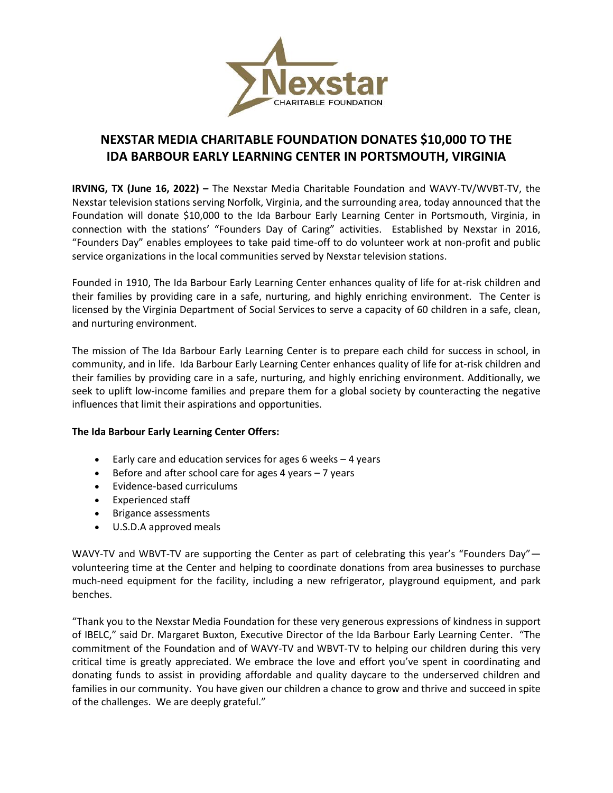

## **NEXSTAR MEDIA CHARITABLE FOUNDATION DONATES \$10,000 TO THE IDA BARBOUR EARLY LEARNING CENTER IN PORTSMOUTH, VIRGINIA**

**IRVING, TX (June 16, 2022) –** The Nexstar Media Charitable Foundation and WAVY-TV/WVBT-TV, the Nexstar television stations serving Norfolk, Virginia, and the surrounding area, today announced that the Foundation will donate \$10,000 to the Ida Barbour Early Learning Center in Portsmouth, Virginia, in connection with the stations' "Founders Day of Caring" activities. Established by Nexstar in 2016, "Founders Day" enables employees to take paid time-off to do volunteer work at non-profit and public service organizations in the local communities served by Nexstar television stations.

Founded in 1910, The Ida Barbour Early Learning Center enhances quality of life for at-risk children and their families by providing care in a safe, nurturing, and highly enriching environment. The Center is licensed by the Virginia Department of Social Services to serve a capacity of 60 children in a safe, clean, and nurturing environment.

The mission of The Ida Barbour Early Learning Center is to prepare each child for success in school, in community, and in life. Ida Barbour Early Learning Center enhances quality of life for at-risk children and their families by providing care in a safe, nurturing, and highly enriching environment. Additionally, we seek to uplift low-income families and prepare them for a global society by counteracting the negative influences that limit their aspirations and opportunities.

## **The Ida Barbour Early Learning Center Offers:**

- Early care and education services for ages 6 weeks  $-4$  years
- Before and after school care for ages 4 years  $-7$  years
- Evidence-based curriculums
- Experienced staff
- Brigance assessments
- U.S.D.A approved meals

WAVY-TV and WBVT-TV are supporting the Center as part of celebrating this year's "Founders Day" volunteering time at the Center and helping to coordinate donations from area businesses to purchase much-need equipment for the facility, including a new refrigerator, playground equipment, and park benches.

"Thank you to the Nexstar Media Foundation for these very generous expressions of kindness in support of IBELC," said Dr. Margaret Buxton, Executive Director of the Ida Barbour Early Learning Center. "The commitment of the Foundation and of WAVY-TV and WBVT-TV to helping our children during this very critical time is greatly appreciated. We embrace the love and effort you've spent in coordinating and donating funds to assist in providing affordable and quality daycare to the underserved children and families in our community. You have given our children a chance to grow and thrive and succeed in spite of the challenges. We are deeply grateful."